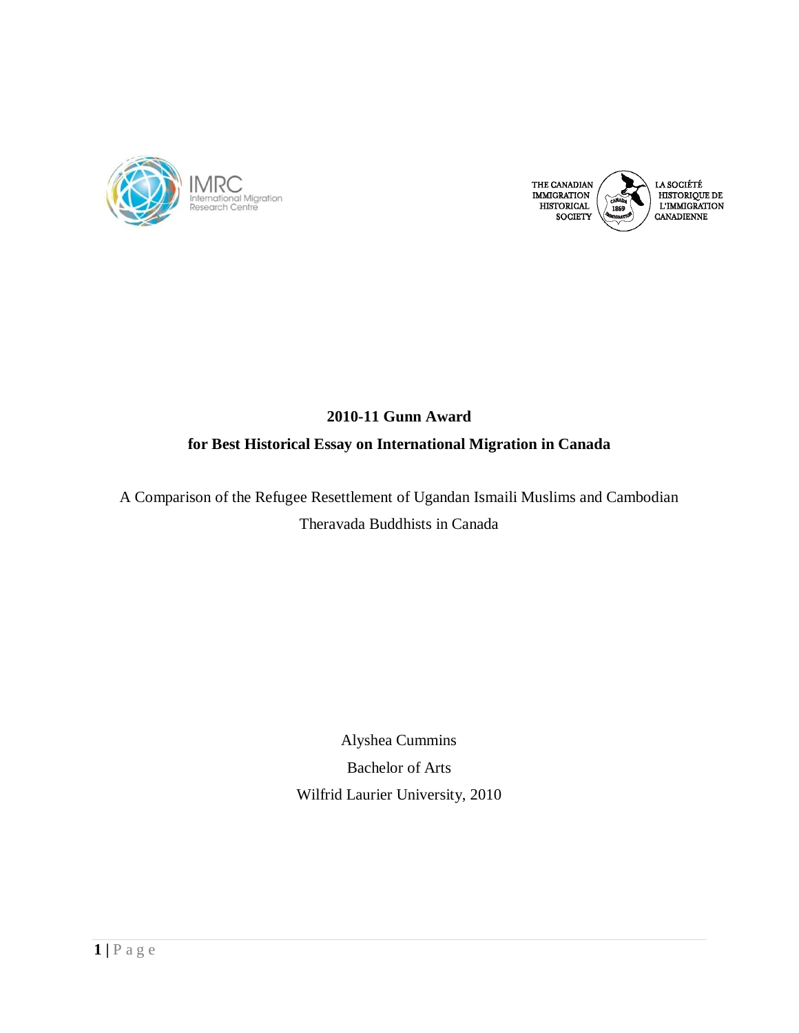



# **2010-11 Gunn Award for Best Historical Essay on International Migration in Canada**

A Comparison of the Refugee Resettlement of Ugandan Ismaili Muslims and Cambodian Theravada Buddhists in Canada

> Alyshea Cummins Bachelor of Arts Wilfrid Laurier University, 2010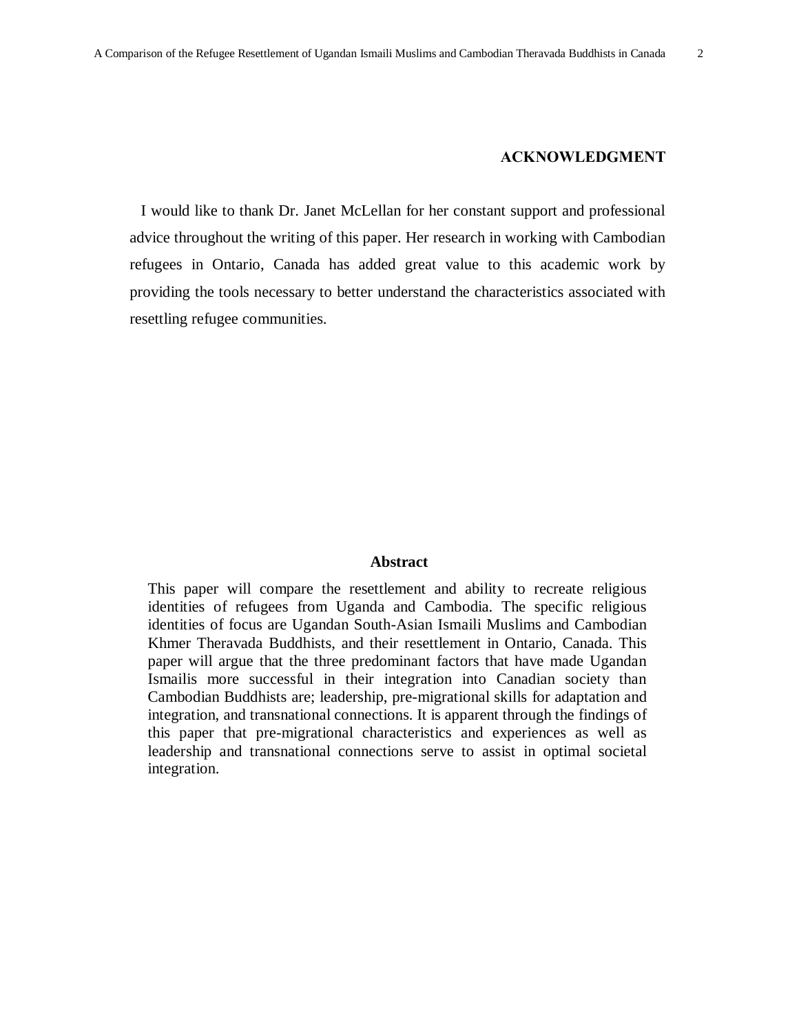#### **ACKNOWLEDGMENT**

I would like to thank Dr. Janet McLellan for her constant support and professional advice throughout the writing of this paper. Her research in working with Cambodian refugees in Ontario, Canada has added great value to this academic work by providing the tools necessary to better understand the characteristics associated with resettling refugee communities.

#### **Abstract**

This paper will compare the resettlement and ability to recreate religious identities of refugees from Uganda and Cambodia. The specific religious identities of focus are Ugandan South-Asian Ismaili Muslims and Cambodian Khmer Theravada Buddhists, and their resettlement in Ontario, Canada. This paper will argue that the three predominant factors that have made Ugandan Ismailis more successful in their integration into Canadian society than Cambodian Buddhists are; leadership, pre-migrational skills for adaptation and integration, and transnational connections. It is apparent through the findings of this paper that pre-migrational characteristics and experiences as well as leadership and transnational connections serve to assist in optimal societal integration.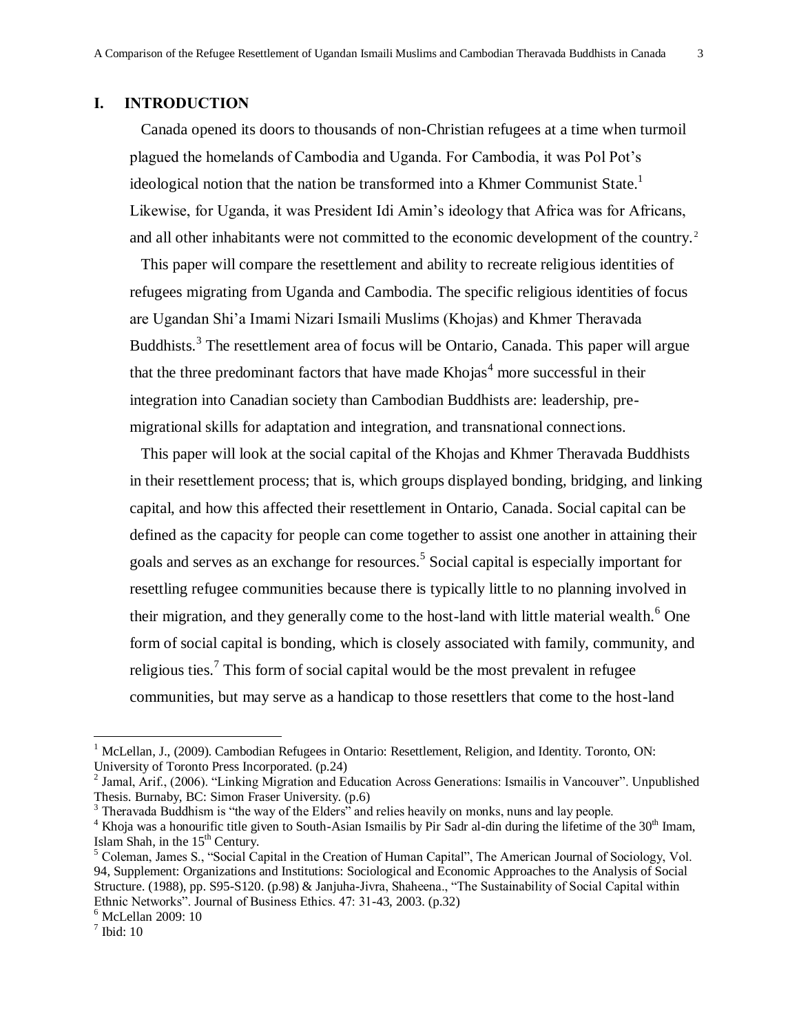### **I. INTRODUCTION**

Canada opened its doors to thousands of non-Christian refugees at a time when turmoil plagued the homelands of Cambodia and Uganda. For Cambodia, it was Pol Pot's ideological notion that the nation be transformed into a Khmer Communist State.<sup>1</sup> Likewise, for Uganda, it was President Idi Amin's ideology that Africa was for Africans, and all other inhabitants were not committed to the economic development of the country.<sup>2</sup>

This paper will compare the resettlement and ability to recreate religious identities of refugees migrating from Uganda and Cambodia. The specific religious identities of focus are Ugandan Shi'a Imami Nizari Ismaili Muslims (Khojas) and Khmer Theravada Buddhists.<sup>3</sup> The resettlement area of focus will be Ontario, Canada. This paper will argue that the three predominant factors that have made  $Khojas<sup>4</sup>$  more successful in their integration into Canadian society than Cambodian Buddhists are: leadership, premigrational skills for adaptation and integration, and transnational connections.

This paper will look at the social capital of the Khojas and Khmer Theravada Buddhists in their resettlement process; that is, which groups displayed bonding, bridging, and linking capital, and how this affected their resettlement in Ontario, Canada. Social capital can be defined as the capacity for people can come together to assist one another in attaining their goals and serves as an exchange for resources.<sup>5</sup> Social capital is especially important for resettling refugee communities because there is typically little to no planning involved in their migration, and they generally come to the host-land with little material wealth.<sup>6</sup> One form of social capital is bonding, which is closely associated with family, community, and religious ties.<sup>7</sup> This form of social capital would be the most prevalent in refugee communities, but may serve as a handicap to those resettlers that come to the host-land

<sup>&</sup>lt;sup>1</sup> McLellan, J., (2009). Cambodian Refugees in Ontario: Resettlement, Religion, and Identity. Toronto, ON: University of Toronto Press Incorporated. (p.24)

 $^2$  Jamal, Arif., (2006). "Linking Migration and Education Across Generations: Ismailis in Vancouver". Unpublished Thesis. Burnaby, BC: Simon Fraser University. (p.6)

 $3$  Theravada Buddhism is "the way of the Elders" and relies heavily on monks, nuns and lay people.

 $4$  Khoja was a honourific title given to South-Asian Ismailis by Pir Sadr al-din during the lifetime of the  $30<sup>th</sup>$  Imam, Islam Shah, in the  $15<sup>th</sup>$  Century.

 $<sup>5</sup>$  Coleman, James S., "Social Capital in the Creation of Human Capital", The American Journal of Sociology, Vol.</sup> 94, Supplement: Organizations and Institutions: Sociological and Economic Approaches to the Analysis of Social Structure. (1988), pp. S95-S120. (p.98) & Janjuha-Jivra, Shaheena., "The Sustainability of Social Capital within Ethnic Networks". Journal of Business Ethics. 47: 31-43, 2003. (p.32)

<sup>6</sup> McLellan 2009: 10

 $<sup>7</sup>$  Ibid: 10</sup>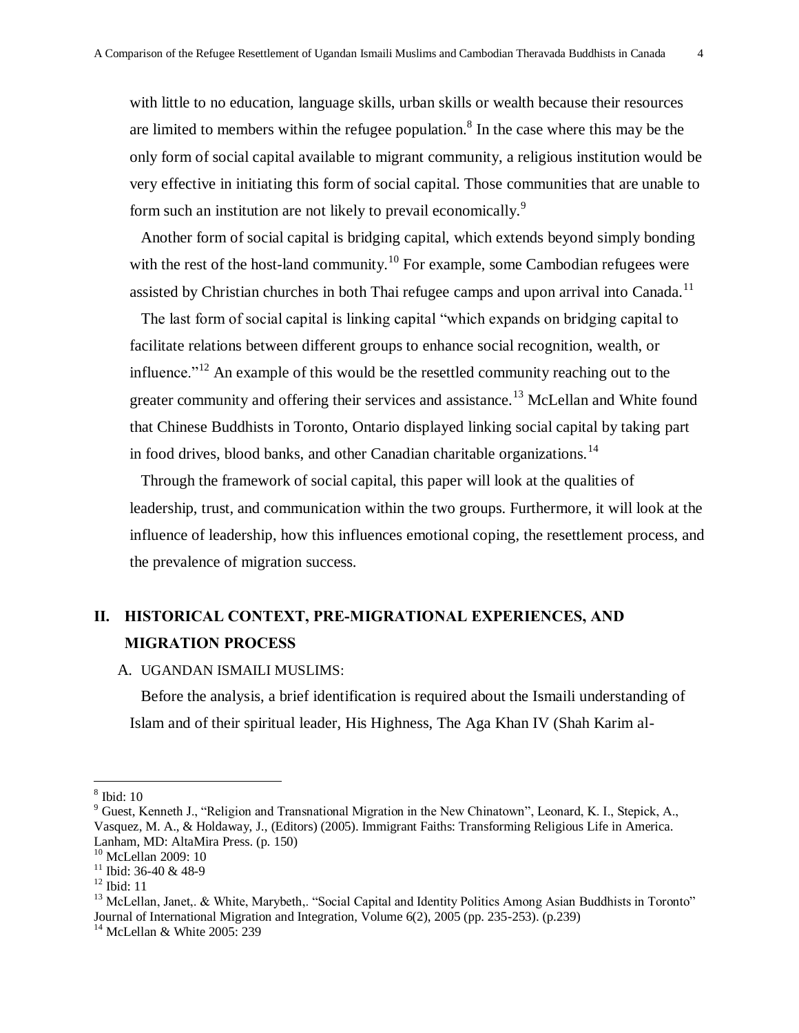with little to no education, language skills, urban skills or wealth because their resources are limited to members within the refugee population.<sup>8</sup> In the case where this may be the only form of social capital available to migrant community, a religious institution would be very effective in initiating this form of social capital. Those communities that are unable to form such an institution are not likely to prevail economically.<sup>9</sup>

Another form of social capital is bridging capital, which extends beyond simply bonding with the rest of the host-land community.<sup>10</sup> For example, some Cambodian refugees were assisted by Christian churches in both Thai refugee camps and upon arrival into Canada.<sup>11</sup>

The last form of social capital is linking capital "which expands on bridging capital to facilitate relations between different groups to enhance social recognition, wealth, or influence.<sup> $12$ </sup> An example of this would be the resettled community reaching out to the greater community and offering their services and assistance.<sup>13</sup> McLellan and White found that Chinese Buddhists in Toronto, Ontario displayed linking social capital by taking part in food drives, blood banks, and other Canadian charitable organizations.<sup>14</sup>

Through the framework of social capital, this paper will look at the qualities of leadership, trust, and communication within the two groups. Furthermore, it will look at the influence of leadership, how this influences emotional coping, the resettlement process, and the prevalence of migration success.

# **II. HISTORICAL CONTEXT, PRE-MIGRATIONAL EXPERIENCES, AND MIGRATION PROCESS**

#### A. UGANDAN ISMAILI MUSLIMS:

Before the analysis, a brief identification is required about the Ismaili understanding of Islam and of their spiritual leader, His Highness, The Aga Khan IV (Shah Karim al-

<sup>8</sup> Ibid: 10

<sup>&</sup>lt;sup>9</sup> Guest, Kenneth J., "Religion and Transnational Migration in the New Chinatown", Leonard, K. I., Stepick, A., Vasquez, M. A., & Holdaway, J., (Editors) (2005). Immigrant Faiths: Transforming Religious Life in America. Lanham, MD: AltaMira Press. (p. 150)

<sup>&</sup>lt;sup>10</sup> McLellan 2009: 10

 $11$  Ibid: 36-40 & 48-9

 $12$  Ibid: 11

<sup>&</sup>lt;sup>13</sup> McLellan, Janet,. & White, Marybeth,. "Social Capital and Identity Politics Among Asian Buddhists in Toronto" Journal of International Migration and Integration, Volume 6(2), 2005 (pp. 235-253). (p.239)

 $14$  McLellan & White 2005: 239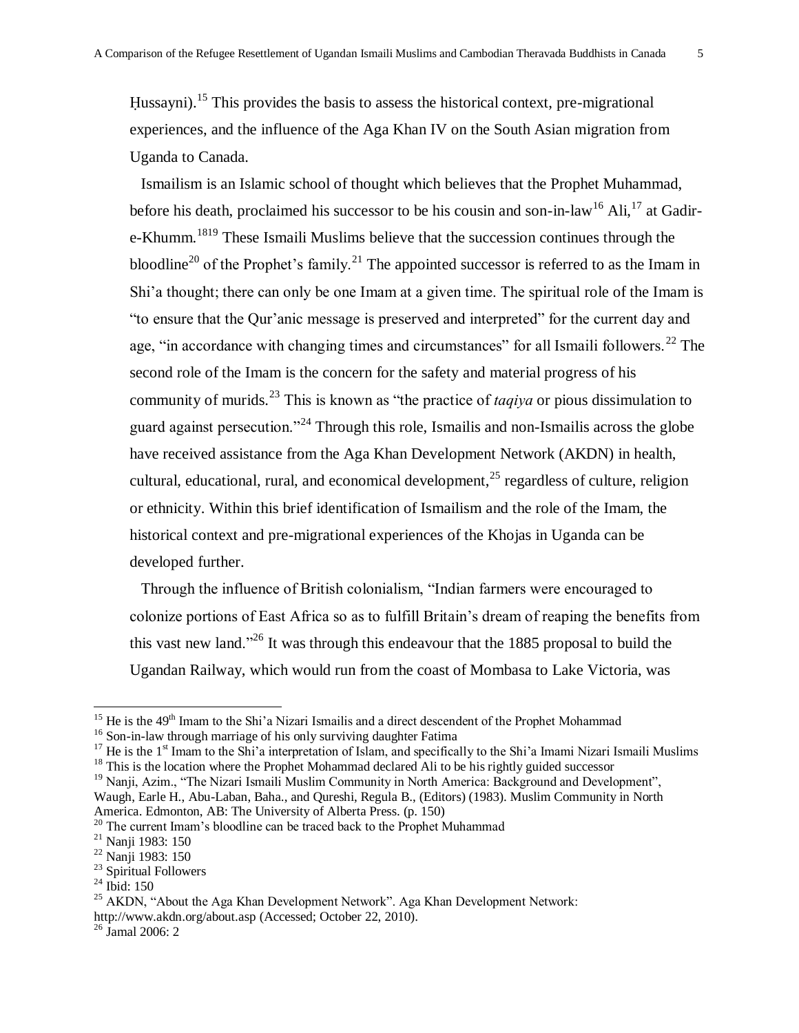Hussayni).<sup>15</sup> This provides the basis to assess the historical context, pre-migrational experiences, and the influence of the Aga Khan IV on the South Asian migration from Uganda to Canada.

Ismailism is an Islamic school of thought which believes that the Prophet Muhammad, before his death, proclaimed his successor to be his cousin and son-in-law<sup>16</sup> Ali,<sup>17</sup> at Gadire-Khumm.<sup>1819</sup> These Ismaili Muslims believe that the succession continues through the bloodline<sup>20</sup> of the Prophet's family.<sup>21</sup> The appointed successor is referred to as the Imam in Shi'a thought; there can only be one Imam at a given time. The spiritual role of the Imam is ―to ensure that the Qur'anic message is preserved and interpreted‖ for the current day and age, "in accordance with changing times and circumstances" for all Ismaili followers.<sup>22</sup> The second role of the Imam is the concern for the safety and material progress of his community of murids.<sup>23</sup> This is known as "the practice of *taqiya* or pious dissimulation to guard against persecution."<sup>24</sup> Through this role, Ismailis and non-Ismailis across the globe have received assistance from the Aga Khan Development Network (AKDN) in health, cultural, educational, rural, and economical development, $^{25}$  regardless of culture, religion or ethnicity. Within this brief identification of Ismailism and the role of the Imam, the historical context and pre-migrational experiences of the Khojas in Uganda can be developed further.

Through the influence of British colonialism, "Indian farmers were encouraged to colonize portions of East Africa so as to fulfill Britain's dream of reaping the benefits from this vast new land."<sup>26</sup> It was through this endeavour that the 1885 proposal to build the Ugandan Railway, which would run from the coast of Mombasa to Lake Victoria, was

 $15$  He is the 49<sup>th</sup> Imam to the Shi'a Nizari Ismailis and a direct descendent of the Prophet Mohammad

<sup>&</sup>lt;sup>16</sup> Son-in-law through marriage of his only surviving daughter Fatima

<sup>&</sup>lt;sup>17</sup> He is the 1<sup>st</sup> Imam to the Shi'a interpretation of Islam, and specifically to the Shi'a Imami Nizari Ismaili Muslims

 $18$  This is the location where the Prophet Mohammad declared Ali to be his rightly guided successor

 $19$  Nanji, Azim., "The Nizari Ismaili Muslim Community in North America: Background and Development", Waugh, Earle H., Abu-Laban, Baha., and Qureshi, Regula B., (Editors) (1983). Muslim Community in North America. Edmonton, AB: The University of Alberta Press. (p. 150)

<sup>&</sup>lt;sup>20</sup> The current Imam's bloodline can be traced back to the Prophet Muhammad

<sup>21</sup> Nanji 1983: 150

<sup>22</sup> Nanji 1983: 150

<sup>&</sup>lt;sup>23</sup> Spiritual Followers

 $^{24}$  Ibid: 150

 $25$  AKDN, "About the Aga Khan Development Network". Aga Khan Development Network: <http://www.akdn.org/about.asp> (Accessed; October 22, 2010).

 $26$  Jamal 2006: 2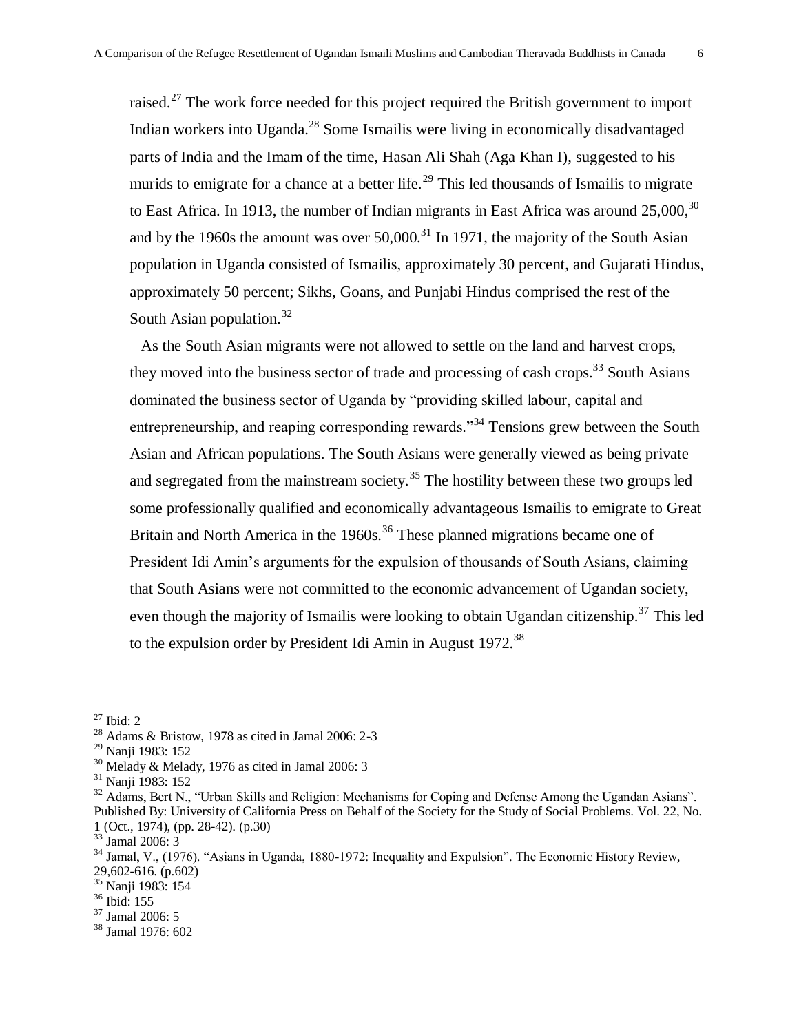raised.<sup>27</sup> The work force needed for this project required the British government to import Indian workers into Uganda.<sup>28</sup> Some Ismailis were living in economically disadvantaged parts of India and the Imam of the time, Hasan Ali Shah (Aga Khan I), suggested to his murids to emigrate for a chance at a better life.<sup>29</sup> This led thousands of Ismailis to migrate to East Africa. In 1913, the number of Indian migrants in East Africa was around  $25,000$ ,  $30$ and by the 1960s the amount was over  $50,000$ .<sup>31</sup> In 1971, the majority of the South Asian population in Uganda consisted of Ismailis, approximately 30 percent, and Gujarati Hindus, approximately 50 percent; Sikhs, Goans, and Punjabi Hindus comprised the rest of the South Asian population. $32$ 

As the South Asian migrants were not allowed to settle on the land and harvest crops, they moved into the business sector of trade and processing of cash crops.<sup>33</sup> South Asians dominated the business sector of Uganda by "providing skilled labour, capital and entrepreneurship, and reaping corresponding rewards.<sup>34</sup> Tensions grew between the South Asian and African populations. The South Asians were generally viewed as being private and segregated from the mainstream society.<sup>35</sup> The hostility between these two groups led some professionally qualified and economically advantageous Ismailis to emigrate to Great Britain and North America in the 1960s.<sup>36</sup> These planned migrations became one of President Idi Amin's arguments for the expulsion of thousands of South Asians, claiming that South Asians were not committed to the economic advancement of Ugandan society, even though the majority of Ismailis were looking to obtain Ugandan citizenship.<sup>37</sup> This led to the expulsion order by President Idi Amin in August  $1972$ <sup>38</sup>

 $\overline{a}$ 

 $37$  Jamal 2006: 5

<sup>27</sup> Ibid: 2

<sup>28</sup> Adams & Bristow, 1978 as cited in Jamal 2006: 2-3

<sup>29</sup> Nanji 1983: 152

 $30$  Melady & Melady, 1976 as cited in Jamal 2006: 3

<sup>31</sup> Nanji 1983: 152

<sup>&</sup>lt;sup>32</sup> Adams, Bert N., "Urban Skills and Religion: Mechanisms for Coping and Defense Among the Ugandan Asians". Published By: University of California Press on Behalf of the Society for the Study of Social Problems. Vol. 22, No. 1 (Oct., 1974), (pp. 28-42). (p.30)

<sup>33</sup> Jamal 2006: 3

 $34$  Jamal, V., (1976). "Asians in Uganda, 1880-1972: Inequality and Expulsion". The Economic History Review,  $29,602-616.$  (p.602)

<sup>35</sup> Nanji 1983: 154

 $36$  Ibid: 155

<sup>38</sup> Jamal 1976: 602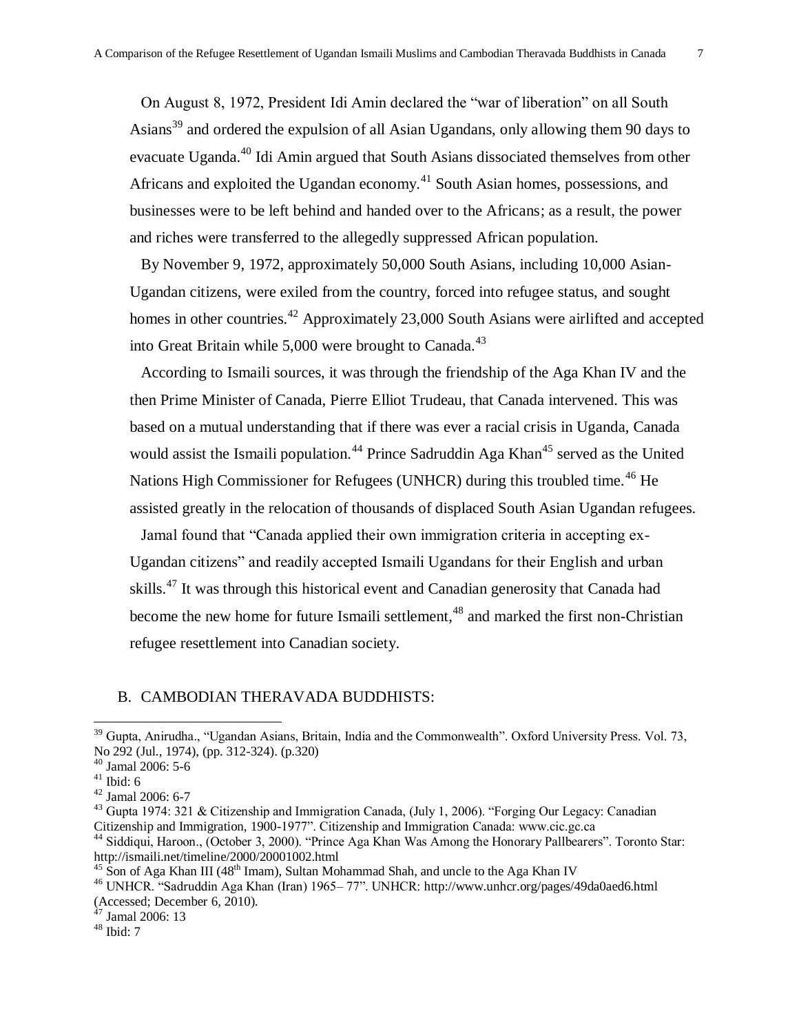On August 8, 1972, President Idi Amin declared the "war of liberation" on all South Asians<sup>39</sup> and ordered the expulsion of all Asian Ugandans, only allowing them 90 days to evacuate Uganda.<sup>40</sup> Idi Amin argued that South Asians dissociated themselves from other Africans and exploited the Ugandan economy.<sup>41</sup> South Asian homes, possessions, and businesses were to be left behind and handed over to the Africans; as a result, the power and riches were transferred to the allegedly suppressed African population.

By November 9, 1972, approximately 50,000 South Asians, including 10,000 Asian-Ugandan citizens, were exiled from the country, forced into refugee status, and sought homes in other countries.<sup>42</sup> Approximately 23,000 South Asians were airlifted and accepted into Great Britain while  $5,000$  were brought to Canada.<sup>43</sup>

According to Ismaili sources, it was through the friendship of the Aga Khan IV and the then Prime Minister of Canada, Pierre Elliot Trudeau, that Canada intervened. This was based on a mutual understanding that if there was ever a racial crisis in Uganda, Canada would assist the Ismaili population.<sup>44</sup> Prince Sadruddin Aga Khan<sup>45</sup> served as the United Nations High Commissioner for Refugees (UNHCR) during this troubled time.<sup>46</sup> He assisted greatly in the relocation of thousands of displaced South Asian Ugandan refugees.

Jamal found that "Canada applied their own immigration criteria in accepting ex-Ugandan citizens" and readily accepted Ismaili Ugandans for their English and urban skills.<sup>47</sup> It was through this historical event and Canadian generosity that Canada had become the new home for future Ismaili settlement,<sup>48</sup> and marked the first non-Christian refugee resettlement into Canadian society.

### B. CAMBODIAN THERAVADA BUDDHISTS:

<sup>&</sup>lt;sup>39</sup> Gupta, Anirudha., "Ugandan Asians, Britain, India and the Commonwealth". Oxford University Press. Vol. 73, No 292 (Jul., 1974), (pp. 312-324). (p.320)

<sup>40</sup> Jamal 2006: 5-6

 $41$  Ibid: 6

<sup>42</sup> Jamal 2006: 6-7

<sup>&</sup>lt;sup>43</sup> Gupta 1974: 321 & Citizenship and Immigration Canada, (July 1, 2006). "Forging Our Legacy: Canadian Citizenship and Immigration, 1900-1977". Citizenship and Immigration Canada: www.cic.gc.ca

<sup>&</sup>lt;sup>44</sup> Siddiqui, Haroon., (October 3, 2000). "Prince Aga Khan Was Among the Honorary Pallbearers". Toronto Star: <http://ismaili.net/timeline/2000/20001002.html>

 $45$  Son of Aga Khan III (48<sup>th</sup> Imam), Sultan Mohammad Shah, and uncle to the Aga Khan IV

<sup>&</sup>lt;sup>46</sup> UNHCR. "Sadruddin Aga Khan (Iran) 1965– 77". UNHCR:<http://www.unhcr.org/pages/49da0aed6.html> (Accessed; December 6, 2010).

 $47$  Jamal 2006: 13

 $48$  Ibid: 7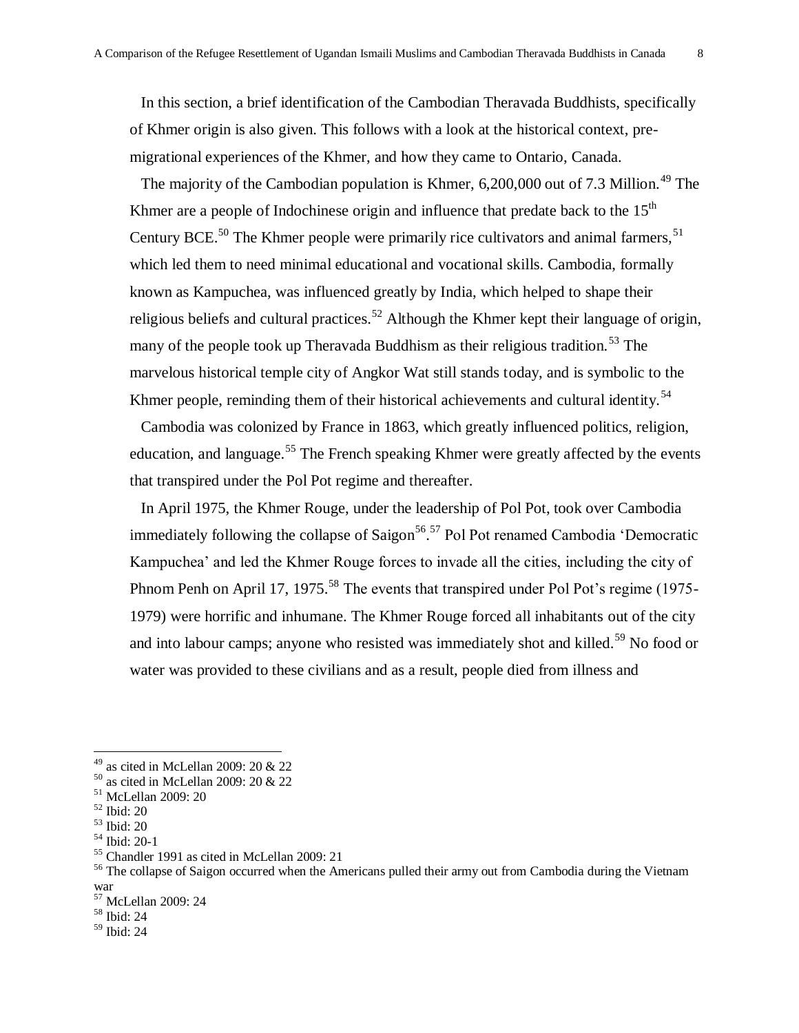In this section, a brief identification of the Cambodian Theravada Buddhists, specifically of Khmer origin is also given. This follows with a look at the historical context, premigrational experiences of the Khmer, and how they came to Ontario, Canada.

The majority of the Cambodian population is Khmer,  $6,200,000$  out of 7.3 Million.<sup>49</sup> The Khmer are a people of Indochinese origin and influence that predate back to the  $15<sup>th</sup>$ Century BCE.<sup>50</sup> The Khmer people were primarily rice cultivators and animal farmers,  $51$ which led them to need minimal educational and vocational skills. Cambodia, formally known as Kampuchea, was influenced greatly by India, which helped to shape their religious beliefs and cultural practices.<sup>52</sup> Although the Khmer kept their language of origin, many of the people took up Theravada Buddhism as their religious tradition.<sup>53</sup> The marvelous historical temple city of Angkor Wat still stands today, and is symbolic to the Khmer people, reminding them of their historical achievements and cultural identity.<sup>54</sup>

Cambodia was colonized by France in 1863, which greatly influenced politics, religion, education, and language.<sup>55</sup> The French speaking Khmer were greatly affected by the events that transpired under the Pol Pot regime and thereafter.

In April 1975, the Khmer Rouge, under the leadership of Pol Pot, took over Cambodia immediately following the collapse of Saigon<sup>56</sup>.<sup>57</sup> Pol Pot renamed Cambodia 'Democratic Kampuchea' and led the Khmer Rouge forces to invade all the cities, including the city of Phnom Penh on April 17, 1975.<sup>58</sup> The events that transpired under Pol Pot's regime (1975-1979) were horrific and inhumane. The Khmer Rouge forced all inhabitants out of the city and into labour camps; anyone who resisted was immediately shot and killed.<sup>59</sup> No food or water was provided to these civilians and as a result, people died from illness and

 $49$  as cited in McLellan 2009: 20 & 22

 $50$  as cited in McLellan 2009: 20 & 22

<sup>51</sup> McLellan 2009: 20

<sup>52</sup> Ibid: 20

<sup>53</sup> Ibid: 20

<sup>54</sup> Ibid: 20-1

<sup>55</sup> Chandler 1991 as cited in McLellan 2009: 21

<sup>&</sup>lt;sup>56</sup> The collapse of Saigon occurred when the Americans pulled their army out from Cambodia during the Vietnam war

<sup>57</sup> McLellan 2009: 24

<sup>58</sup> Ibid: 24

<sup>59</sup> Ibid: 24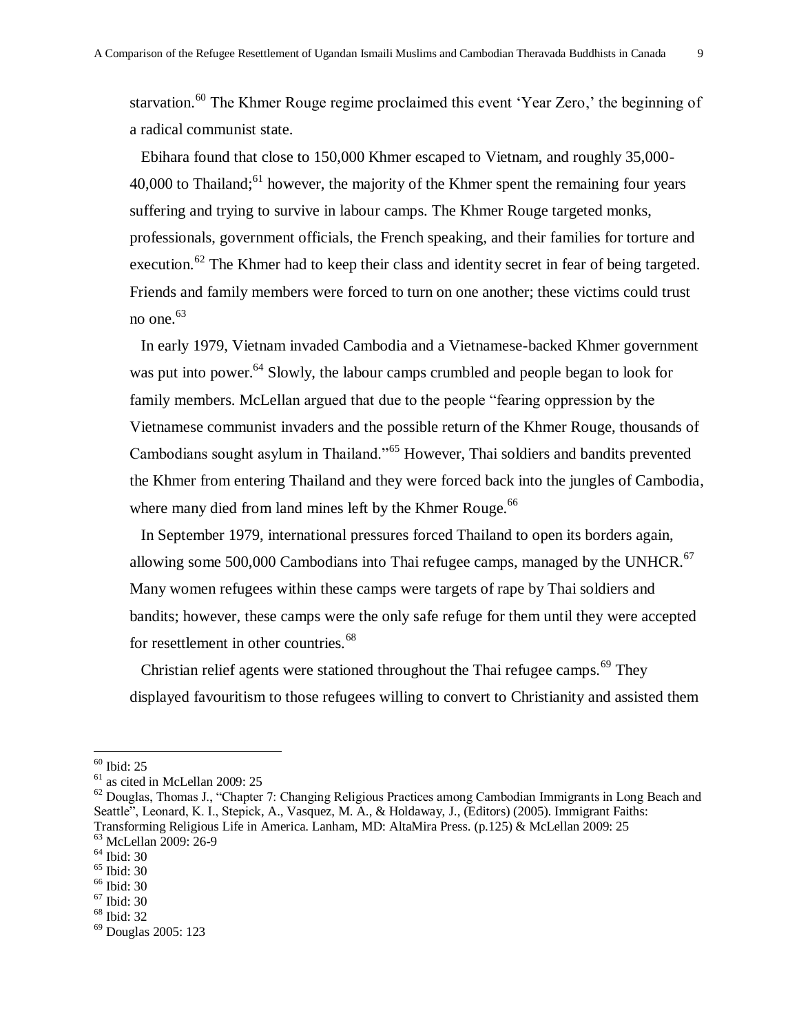starvation.<sup>60</sup> The Khmer Rouge regime proclaimed this event 'Year Zero,' the beginning of a radical communist state.

Ebihara found that close to 150,000 Khmer escaped to Vietnam, and roughly 35,000- 40,000 to Thailand;<sup>61</sup> however, the majority of the Khmer spent the remaining four years suffering and trying to survive in labour camps. The Khmer Rouge targeted monks, professionals, government officials, the French speaking, and their families for torture and execution.<sup>62</sup> The Khmer had to keep their class and identity secret in fear of being targeted. Friends and family members were forced to turn on one another; these victims could trust no one. $63$ 

In early 1979, Vietnam invaded Cambodia and a Vietnamese-backed Khmer government was put into power.<sup>64</sup> Slowly, the labour camps crumbled and people began to look for family members. McLellan argued that due to the people "fearing oppression by the Vietnamese communist invaders and the possible return of the Khmer Rouge, thousands of Cambodians sought asylum in Thailand."<sup>65</sup> However, Thai soldiers and bandits prevented the Khmer from entering Thailand and they were forced back into the jungles of Cambodia, where many died from land mines left by the Khmer Rouge.<sup>66</sup>

In September 1979, international pressures forced Thailand to open its borders again, allowing some 500,000 Cambodians into Thai refugee camps, managed by the UNHCR. $67$ Many women refugees within these camps were targets of rape by Thai soldiers and bandits; however, these camps were the only safe refuge for them until they were accepted for resettlement in other countries.<sup>68</sup>

Christian relief agents were stationed throughout the Thai refugee camps.<sup>69</sup> They displayed favouritism to those refugees willing to convert to Christianity and assisted them

<sup>60</sup> Ibid: 25

<sup>61</sup> as cited in McLellan 2009: 25

 $62$  Douglas, Thomas J., "Chapter 7: Changing Religious Practices among Cambodian Immigrants in Long Beach and Seattle", Leonard, K. I., Stepick, A., Vasquez, M. A., & Holdaway, J., (Editors) (2005). Immigrant Faiths: Transforming Religious Life in America. Lanham, MD: AltaMira Press. (p.125) & McLellan 2009: 25

<sup>63</sup> McLellan 2009: 26-9

<sup>64</sup> Ibid: 30  $65$  Ibid: 30

<sup>66</sup> Ibid: 30 <sup>67</sup> Ibid: 30

<sup>68</sup> Ibid: 32

<sup>69</sup> Douglas 2005: 123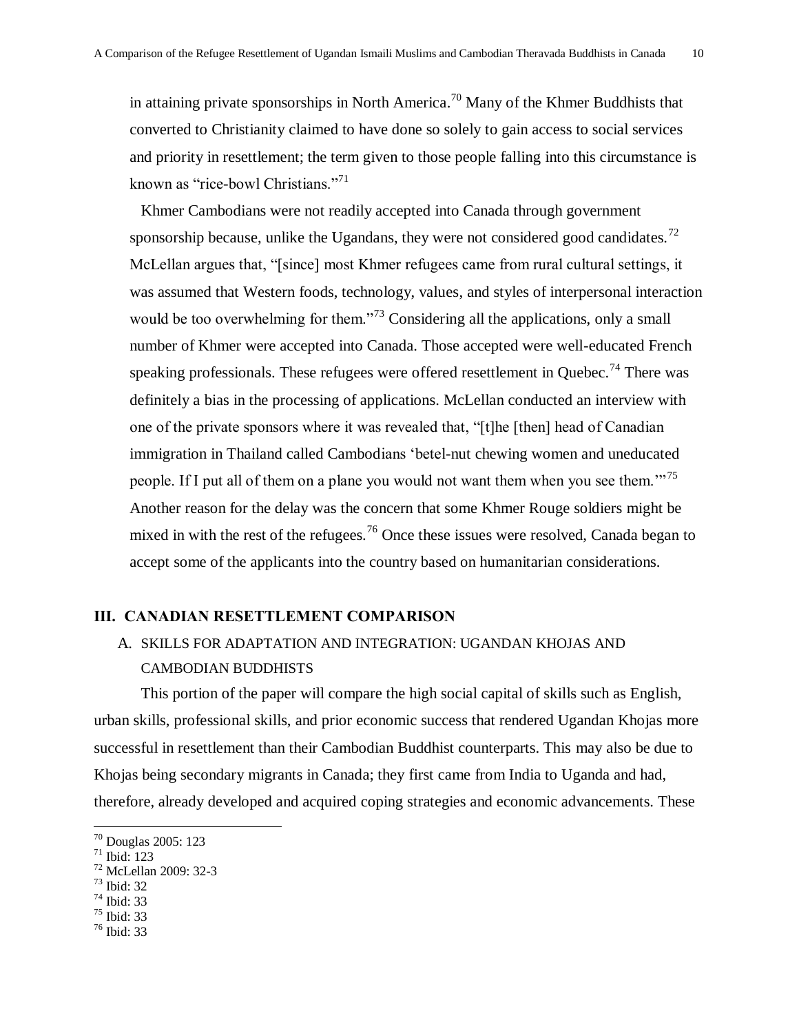in attaining private sponsorships in North America.<sup>70</sup> Many of the Khmer Buddhists that converted to Christianity claimed to have done so solely to gain access to social services and priority in resettlement; the term given to those people falling into this circumstance is known as "rice-bowl Christians."<sup>71</sup>

Khmer Cambodians were not readily accepted into Canada through government sponsorship because, unlike the Ugandans, they were not considered good candidates.<sup>72</sup> McLellan argues that, "[since] most Khmer refugees came from rural cultural settings, it was assumed that Western foods, technology, values, and styles of interpersonal interaction would be too overwhelming for them.<sup>73</sup> Considering all the applications, only a small number of Khmer were accepted into Canada. Those accepted were well-educated French speaking professionals. These refugees were offered resettlement in Quebec.<sup>74</sup> There was definitely a bias in the processing of applications. McLellan conducted an interview with one of the private sponsors where it was revealed that, "[t]he [then] head of Canadian immigration in Thailand called Cambodians 'betel-nut chewing women and uneducated people. If I put all of them on a plane you would not want them when you see them.<sup>"75</sup> Another reason for the delay was the concern that some Khmer Rouge soldiers might be mixed in with the rest of the refugees.<sup>76</sup> Once these issues were resolved, Canada began to accept some of the applicants into the country based on humanitarian considerations.

#### **III. CANADIAN RESETTLEMENT COMPARISON**

## A. SKILLS FOR ADAPTATION AND INTEGRATION: UGANDAN KHOJAS AND CAMBODIAN BUDDHISTS

This portion of the paper will compare the high social capital of skills such as English, urban skills, professional skills, and prior economic success that rendered Ugandan Khojas more successful in resettlement than their Cambodian Buddhist counterparts. This may also be due to Khojas being secondary migrants in Canada; they first came from India to Uganda and had, therefore, already developed and acquired coping strategies and economic advancements. These

- <sup>72</sup> McLellan 2009: 32-3
- <sup>73</sup> Ibid: 32
- <sup>74</sup> Ibid: 33
- <sup>75</sup> Ibid: 33
- <sup>76</sup> Ibid: 33

<sup>70</sup> Douglas 2005: 123

 $71$  Ibid: 123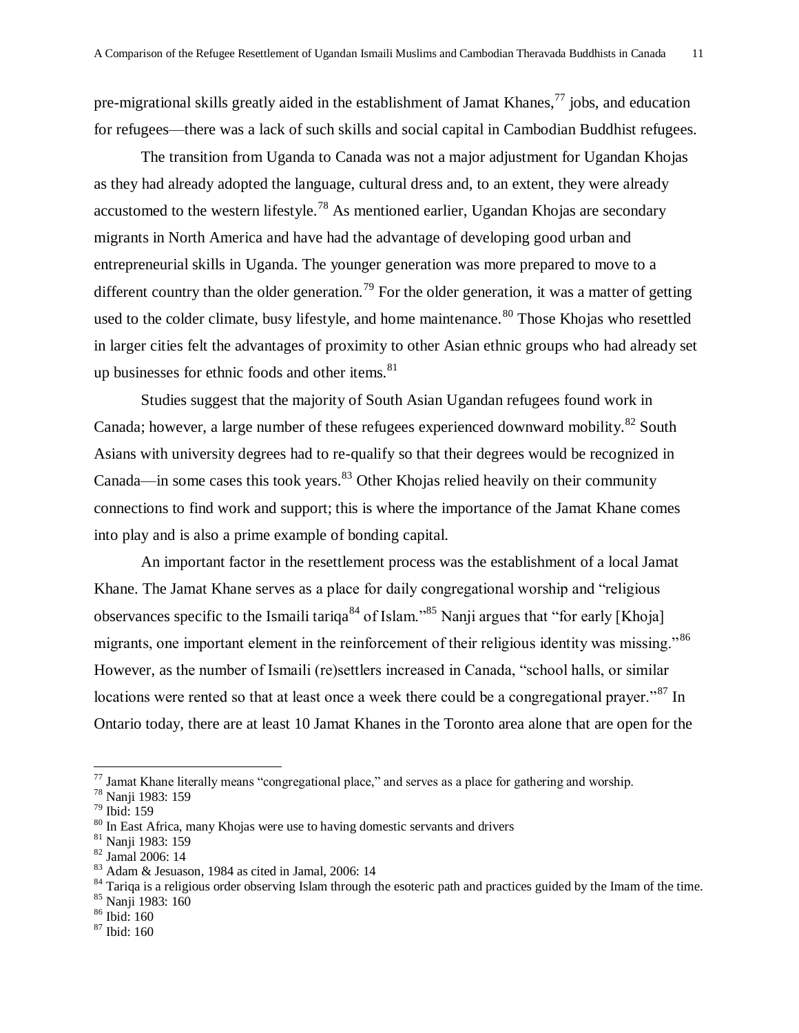pre-migrational skills greatly aided in the establishment of Jamat Khanes,  $^{77}$  jobs, and education for refugees—there was a lack of such skills and social capital in Cambodian Buddhist refugees.

The transition from Uganda to Canada was not a major adjustment for Ugandan Khojas as they had already adopted the language, cultural dress and, to an extent, they were already accustomed to the western lifestyle.<sup>78</sup> As mentioned earlier, Ugandan Khojas are secondary migrants in North America and have had the advantage of developing good urban and entrepreneurial skills in Uganda. The younger generation was more prepared to move to a different country than the older generation.<sup>79</sup> For the older generation, it was a matter of getting used to the colder climate, busy lifestyle, and home maintenance.<sup>80</sup> Those Khojas who resettled in larger cities felt the advantages of proximity to other Asian ethnic groups who had already set up businesses for ethnic foods and other items. $81$ 

Studies suggest that the majority of South Asian Ugandan refugees found work in Canada; however, a large number of these refugees experienced downward mobility.<sup>82</sup> South Asians with university degrees had to re-qualify so that their degrees would be recognized in Canada—in some cases this took years. $83$  Other Khojas relied heavily on their community connections to find work and support; this is where the importance of the Jamat Khane comes into play and is also a prime example of bonding capital.

An important factor in the resettlement process was the establishment of a local Jamat Khane. The Jamat Khane serves as a place for daily congregational worship and "religious" observances specific to the Ismaili tariqa<sup>84</sup> of Islam.<sup>85</sup> Nanji argues that "for early [Khoja] migrants, one important element in the reinforcement of their religious identity was missing.<sup>86</sup> However, as the number of Ismaili (re)settlers increased in Canada, "school halls, or similar locations were rented so that at least once a week there could be a congregational prayer.<sup>87</sup> In Ontario today, there are at least 10 Jamat Khanes in the Toronto area alone that are open for the

 $^{77}$  Jamat Khane literally means "congregational place," and serves as a place for gathering and worship.

<sup>78</sup> Nanji 1983: 159

<sup>79</sup> Ibid: 159

<sup>&</sup>lt;sup>80</sup> In East Africa, many Khojas were use to having domestic servants and drivers

<sup>81</sup> Nanji 1983: 159

<sup>82</sup> Jamal 2006: 14

<sup>83</sup> Adam & Jesuason, 1984 as cited in Jamal, 2006: 14

 $84$  Tariqa is a religious order observing Islam through the esoteric path and practices guided by the Imam of the time.

<sup>85</sup> Nanji 1983: 160

 $86$  Ibid: 160

<sup>87</sup> Ibid: 160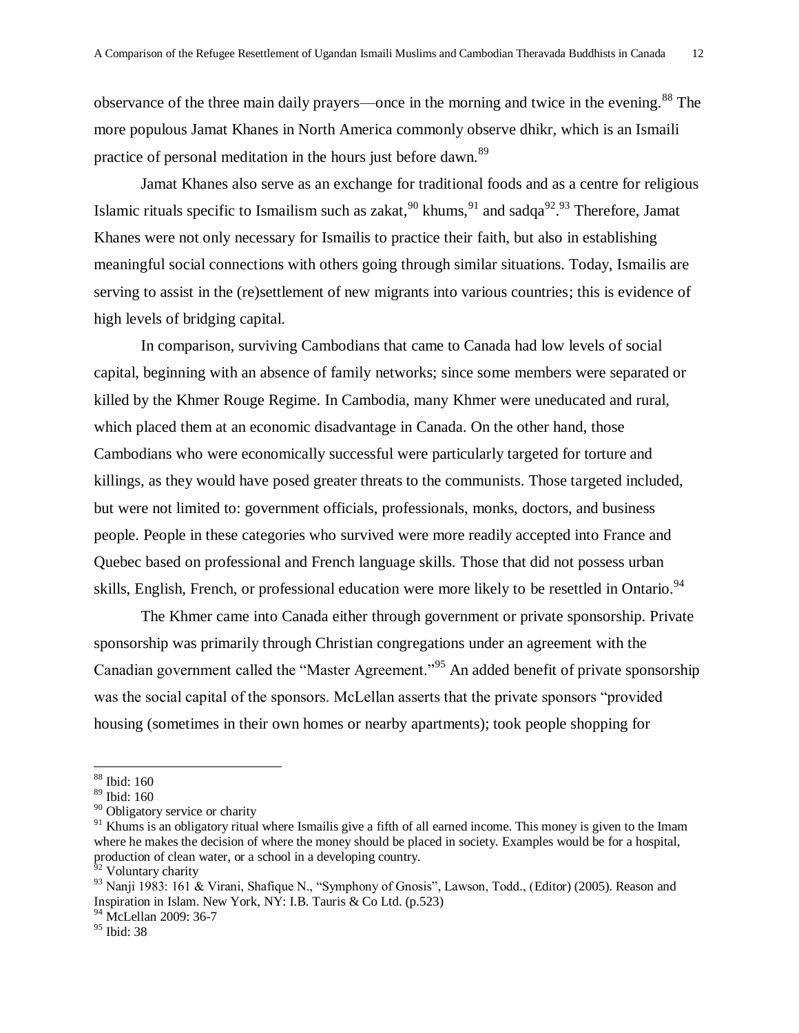observance of the three main daily prayers—once in the morning and twice in the evening.<sup>88</sup> The more populous Jamat Khanes in North America commonly observe dhikr, which is an Ismaili practice of personal meditation in the hours just before dawn.<sup>89</sup>

Jamat Khanes also serve as an exchange for traditional foods and as a centre for religious Islamic rituals specific to Ismailism such as zakat,  $90 \text{ khums}$ ,  $91 \text{ and } \text{sadqa}^{92}$ . Therefore, Jamat Khanes were not only necessary for Ismailis to practice their faith, but also in establishing meaningful social connections with others going through similar situations. Today, Ismailis are serving to assist in the (re)settlement of new migrants into various countries; this is evidence of high levels of bridging capital.

In comparison, surviving Cambodians that came to Canada had low levels of social capital, beginning with an absence of family networks; since some members were separated or killed by the Khmer Rouge Regime. In Cambodia, many Khmer were uneducated and rural, which placed them at an economic disadvantage in Canada. On the other hand, those Cambodians who were economically successful were particularly targeted for torture and killings, as they would have posed greater threats to the communists. Those targeted included, but were not limited to: government officials, professionals, monks, doctors, and business people. People in these categories who survived were more readily accepted into France and Quebec based on professional and French language skills. Those that did not possess urban skills, English, French, or professional education were more likely to be resettled in Ontario.<sup>94</sup>

The Khmer came into Canada either through government or private sponsorship. Private sponsorship was primarily through Christian congregations under an agreement with the Canadian government called the "Master Agreement."<sup>95</sup> An added benefit of private sponsorship was the social capital of the sponsors. McLellan asserts that the private sponsors "provided" housing (sometimes in their own homes or nearby apartments); took people shopping for

<sup>88</sup> Ibid: 160

<sup>89</sup> Ibid: 160

<sup>&</sup>lt;sup>90</sup> Obligatory service or charity

<sup>&</sup>lt;sup>91</sup> Khums is an obligatory ritual where Ismailis give a fifth of all earned income. This money is given to the Imam where he makes the decision of where the money should be placed in society. Examples would be for a hospital, production of clean water, or a school in a developing country.

<sup>&</sup>lt;sup>92</sup> Voluntary charity

 $93$  Nanji 1983: 161 & Virani, Shafique N., "Symphony of Gnosis", Lawson, Todd., (Editor) (2005). Reason and Inspiration in Islam. New York, NY: I.B. Tauris & Co Ltd. (p.523)

<sup>&</sup>lt;sup>94</sup> McLellan 2009: 36-7

<sup>95</sup> Ibid: 38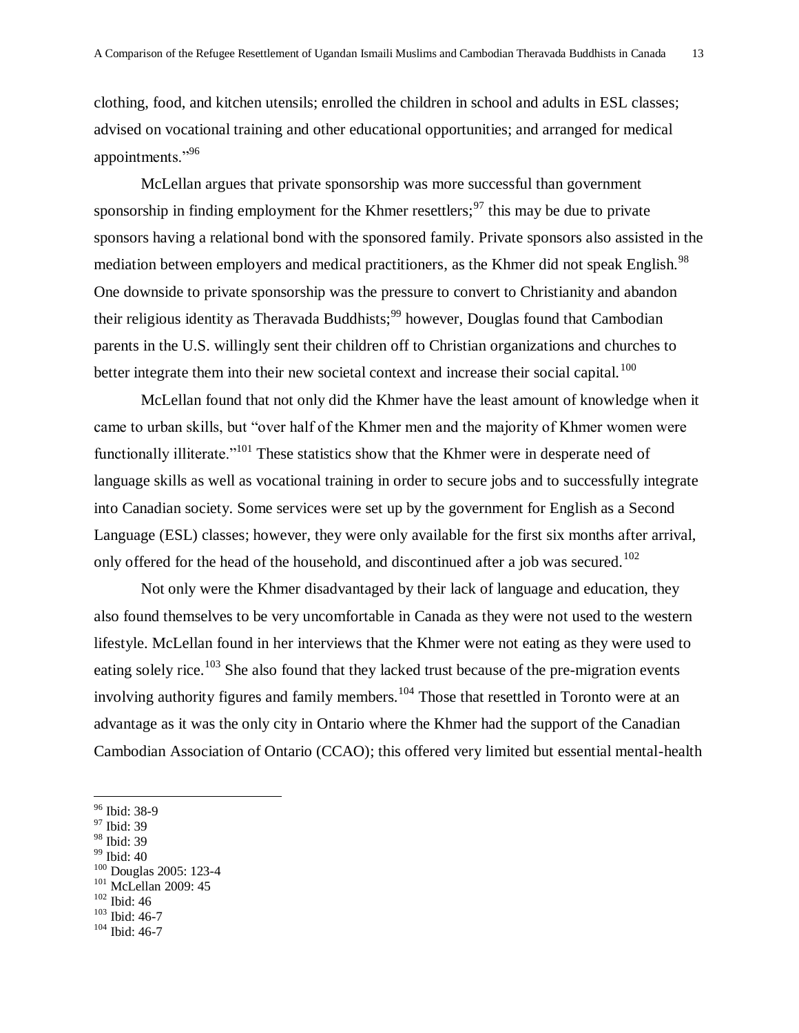clothing, food, and kitchen utensils; enrolled the children in school and adults in ESL classes; advised on vocational training and other educational opportunities; and arranged for medical appointments."96

McLellan argues that private sponsorship was more successful than government sponsorship in finding employment for the Khmer resettlers;  $97$  this may be due to private sponsors having a relational bond with the sponsored family. Private sponsors also assisted in the mediation between employers and medical practitioners, as the Khmer did not speak English.<sup>98</sup> One downside to private sponsorship was the pressure to convert to Christianity and abandon their religious identity as Theravada Buddhists;<sup>99</sup> however, Douglas found that Cambodian parents in the U.S. willingly sent their children off to Christian organizations and churches to better integrate them into their new societal context and increase their social capital.<sup>100</sup>

McLellan found that not only did the Khmer have the least amount of knowledge when it came to urban skills, but "over half of the Khmer men and the majority of Khmer women were functionally illiterate.<sup> $101$ </sup> These statistics show that the Khmer were in desperate need of language skills as well as vocational training in order to secure jobs and to successfully integrate into Canadian society. Some services were set up by the government for English as a Second Language (ESL) classes; however, they were only available for the first six months after arrival, only offered for the head of the household, and discontinued after a job was secured.<sup>102</sup>

Not only were the Khmer disadvantaged by their lack of language and education, they also found themselves to be very uncomfortable in Canada as they were not used to the western lifestyle. McLellan found in her interviews that the Khmer were not eating as they were used to eating solely rice.<sup>103</sup> She also found that they lacked trust because of the pre-migration events involving authority figures and family members.<sup>104</sup> Those that resettled in Toronto were at an advantage as it was the only city in Ontario where the Khmer had the support of the Canadian Cambodian Association of Ontario (CCAO); this offered very limited but essential mental-health

 $\overline{a}$ 

 $99$  Ibid: 40

<sup>101</sup> McLellan 2009: 45

<sup>103</sup> Ibid: 46-7

<sup>96</sup> Ibid: 38-9

<sup>97</sup> Ibid: 39

<sup>98</sup> Ibid: 39

<sup>100</sup> Douglas 2005: 123-4

<sup>102</sup> Ibid: 46

<sup>104</sup> Ibid: 46-7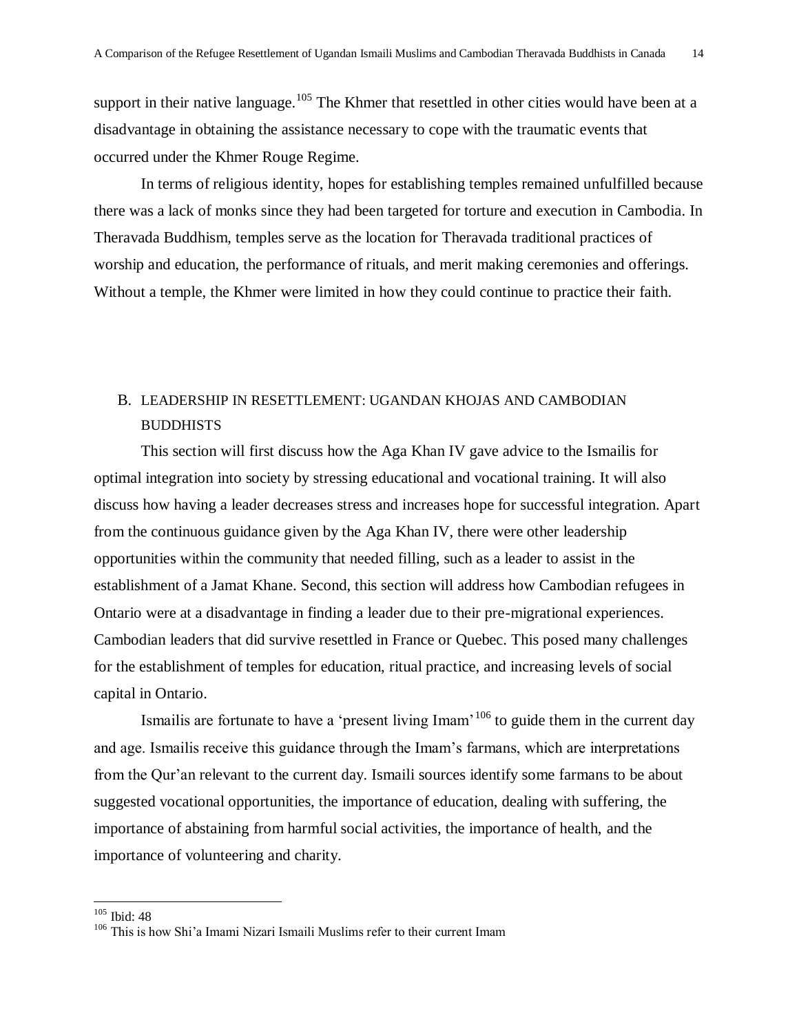support in their native language.<sup>105</sup> The Khmer that resettled in other cities would have been at a disadvantage in obtaining the assistance necessary to cope with the traumatic events that occurred under the Khmer Rouge Regime.

In terms of religious identity, hopes for establishing temples remained unfulfilled because there was a lack of monks since they had been targeted for torture and execution in Cambodia. In Theravada Buddhism, temples serve as the location for Theravada traditional practices of worship and education, the performance of rituals, and merit making ceremonies and offerings. Without a temple, the Khmer were limited in how they could continue to practice their faith.

### B. LEADERSHIP IN RESETTLEMENT: UGANDAN KHOJAS AND CAMBODIAN **BUDDHISTS**

This section will first discuss how the Aga Khan IV gave advice to the Ismailis for optimal integration into society by stressing educational and vocational training. It will also discuss how having a leader decreases stress and increases hope for successful integration. Apart from the continuous guidance given by the Aga Khan IV, there were other leadership opportunities within the community that needed filling, such as a leader to assist in the establishment of a Jamat Khane. Second, this section will address how Cambodian refugees in Ontario were at a disadvantage in finding a leader due to their pre-migrational experiences. Cambodian leaders that did survive resettled in France or Quebec. This posed many challenges for the establishment of temples for education, ritual practice, and increasing levels of social capital in Ontario.

Ismailis are fortunate to have a 'present living Imam'<sup>106</sup> to guide them in the current day and age. Ismailis receive this guidance through the Imam's farmans, which are interpretations from the Qur'an relevant to the current day. Ismaili sources identify some farmans to be about suggested vocational opportunities, the importance of education, dealing with suffering, the importance of abstaining from harmful social activities, the importance of health, and the importance of volunteering and charity.

<sup>105</sup> Ibid: 48

<sup>106</sup> This is how Shi'a Imami Nizari Ismaili Muslims refer to their current Imam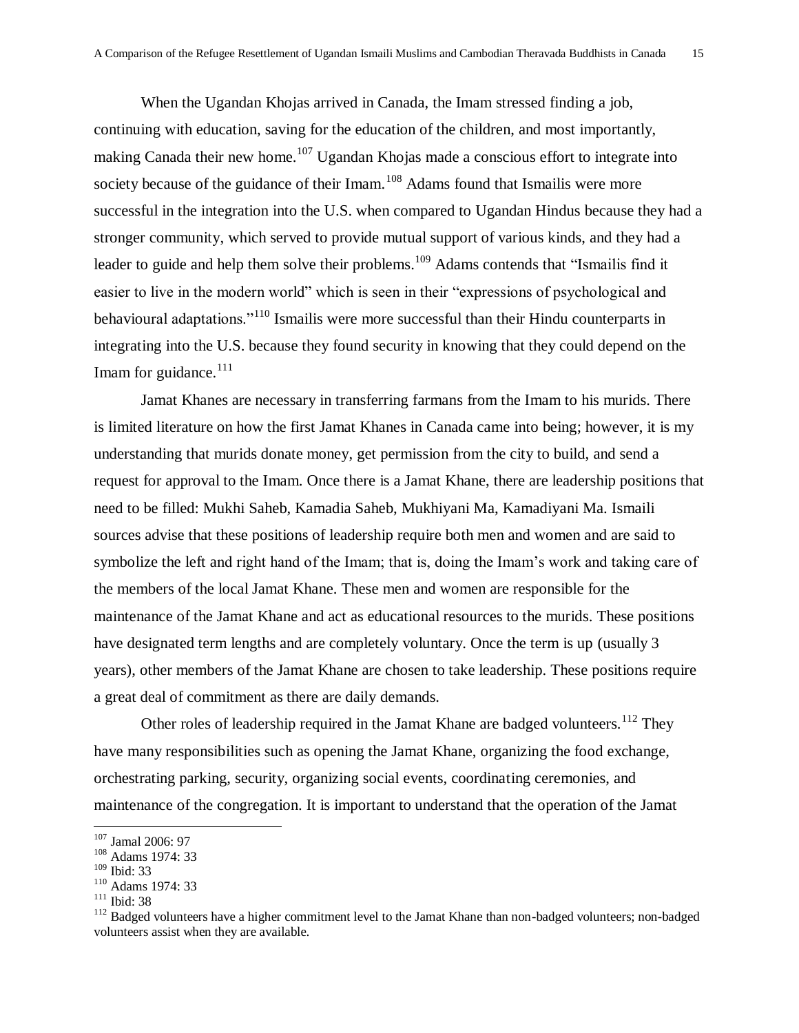When the Ugandan Khojas arrived in Canada, the Imam stressed finding a job, continuing with education, saving for the education of the children, and most importantly, making Canada their new home.<sup>107</sup> Ugandan Khojas made a conscious effort to integrate into society because of the guidance of their Imam.<sup>108</sup> Adams found that Ismailis were more successful in the integration into the U.S. when compared to Ugandan Hindus because they had a stronger community, which served to provide mutual support of various kinds, and they had a leader to guide and help them solve their problems.<sup>109</sup> Adams contends that "Ismailis find it easier to live in the modern world" which is seen in their "expressions of psychological and behavioural adaptations."<sup>110</sup> Ismailis were more successful than their Hindu counterparts in integrating into the U.S. because they found security in knowing that they could depend on the Imam for guidance. $111$ 

Jamat Khanes are necessary in transferring farmans from the Imam to his murids. There is limited literature on how the first Jamat Khanes in Canada came into being; however, it is my understanding that murids donate money, get permission from the city to build, and send a request for approval to the Imam. Once there is a Jamat Khane, there are leadership positions that need to be filled: Mukhi Saheb, Kamadia Saheb, Mukhiyani Ma, Kamadiyani Ma. Ismaili sources advise that these positions of leadership require both men and women and are said to symbolize the left and right hand of the Imam; that is, doing the Imam's work and taking care of the members of the local Jamat Khane. These men and women are responsible for the maintenance of the Jamat Khane and act as educational resources to the murids. These positions have designated term lengths and are completely voluntary. Once the term is up (usually 3 years), other members of the Jamat Khane are chosen to take leadership. These positions require a great deal of commitment as there are daily demands.

Other roles of leadership required in the Jamat Khane are badged volunteers.<sup>112</sup> They have many responsibilities such as opening the Jamat Khane, organizing the food exchange, orchestrating parking, security, organizing social events, coordinating ceremonies, and maintenance of the congregation. It is important to understand that the operation of the Jamat

 $\overline{a}$ 

<sup>111</sup> Ibid: 38

<sup>107</sup> Jamal 2006: 97

<sup>&</sup>lt;sup>108</sup> Adams 1974: 33

<sup>109</sup> Ibid: 33

<sup>110</sup> Adams 1974: 33

<sup>&</sup>lt;sup>112</sup> Badged volunteers have a higher commitment level to the Jamat Khane than non-badged volunteers; non-badged volunteers assist when they are available.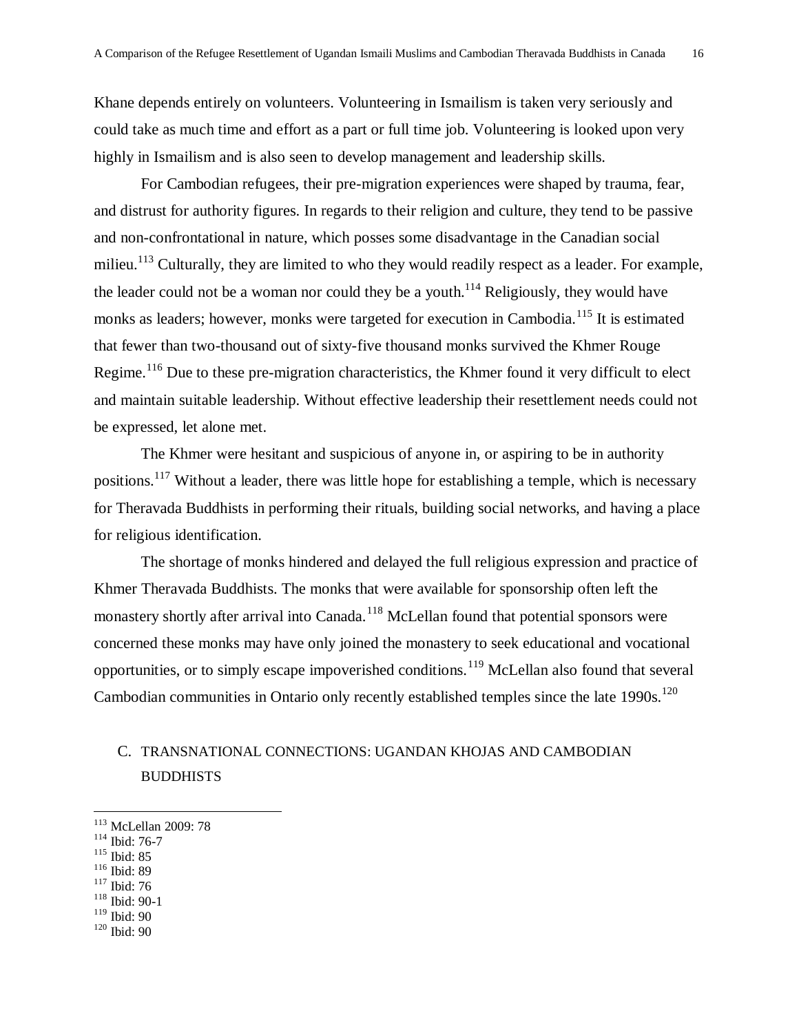Khane depends entirely on volunteers. Volunteering in Ismailism is taken very seriously and could take as much time and effort as a part or full time job. Volunteering is looked upon very highly in Ismailism and is also seen to develop management and leadership skills.

For Cambodian refugees, their pre-migration experiences were shaped by trauma, fear, and distrust for authority figures. In regards to their religion and culture, they tend to be passive and non-confrontational in nature, which posses some disadvantage in the Canadian social milieu.<sup>113</sup> Culturally, they are limited to who they would readily respect as a leader. For example, the leader could not be a woman nor could they be a youth.<sup>114</sup> Religiously, they would have monks as leaders; however, monks were targeted for execution in Cambodia.<sup>115</sup> It is estimated that fewer than two-thousand out of sixty-five thousand monks survived the Khmer Rouge Regime.<sup>116</sup> Due to these pre-migration characteristics, the Khmer found it very difficult to elect and maintain suitable leadership. Without effective leadership their resettlement needs could not be expressed, let alone met.

The Khmer were hesitant and suspicious of anyone in, or aspiring to be in authority positions.<sup>117</sup> Without a leader, there was little hope for establishing a temple, which is necessary for Theravada Buddhists in performing their rituals, building social networks, and having a place for religious identification.

The shortage of monks hindered and delayed the full religious expression and practice of Khmer Theravada Buddhists. The monks that were available for sponsorship often left the monastery shortly after arrival into Canada.<sup>118</sup> McLellan found that potential sponsors were concerned these monks may have only joined the monastery to seek educational and vocational opportunities, or to simply escape impoverished conditions.<sup>119</sup> McLellan also found that several Cambodian communities in Ontario only recently established temples since the late 1990s.<sup>120</sup>

### C. TRANSNATIONAL CONNECTIONS: UGANDAN KHOJAS AND CAMBODIAN BUDDHISTS

- $117$  Ibid: 76
- <sup>118</sup> Ibid: 90-1
- <sup>119</sup> Ibid: 90
- <sup>120</sup> Ibid: 90

<sup>113</sup> McLellan 2009: 78

<sup>114</sup> Ibid: 76-7

<sup>115</sup> Ibid: 85

<sup>116</sup> Ibid: 89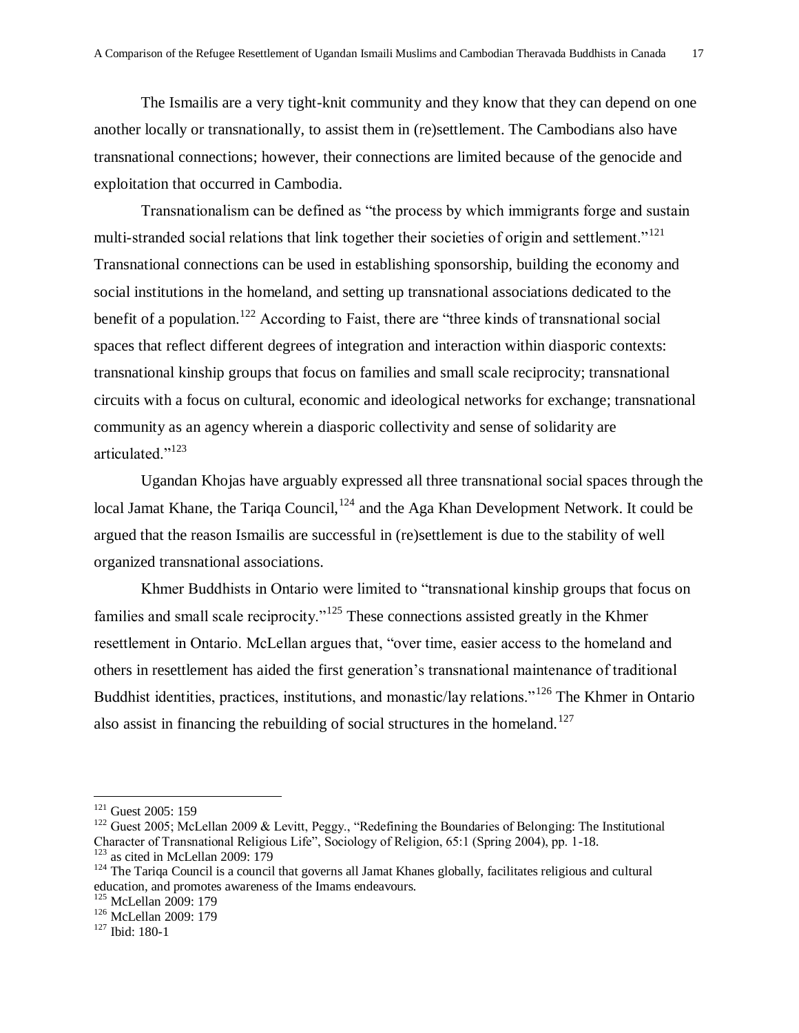The Ismailis are a very tight-knit community and they know that they can depend on one another locally or transnationally, to assist them in (re)settlement. The Cambodians also have transnational connections; however, their connections are limited because of the genocide and exploitation that occurred in Cambodia.

Transnationalism can be defined as "the process by which immigrants forge and sustain multi-stranded social relations that link together their societies of origin and settlement."<sup>121</sup> Transnational connections can be used in establishing sponsorship, building the economy and social institutions in the homeland, and setting up transnational associations dedicated to the benefit of a population.<sup>122</sup> According to Faist, there are "three kinds of transnational social spaces that reflect different degrees of integration and interaction within diasporic contexts: transnational kinship groups that focus on families and small scale reciprocity; transnational circuits with a focus on cultural, economic and ideological networks for exchange; transnational community as an agency wherein a diasporic collectivity and sense of solidarity are articulated<sup>"123</sup>

Ugandan Khojas have arguably expressed all three transnational social spaces through the local Jamat Khane, the Tariqa Council,<sup>124</sup> and the Aga Khan Development Network. It could be argued that the reason Ismailis are successful in (re)settlement is due to the stability of well organized transnational associations.

Khmer Buddhists in Ontario were limited to "transnational kinship groups that focus on families and small scale reciprocity.<sup> $125$ </sup> These connections assisted greatly in the Khmer resettlement in Ontario. McLellan argues that, "over time, easier access to the homeland and others in resettlement has aided the first generation's transnational maintenance of traditional Buddhist identities, practices, institutions, and monastic/lay relations."<sup>126</sup> The Khmer in Ontario also assist in financing the rebuilding of social structures in the homeland.<sup>127</sup>

 $121$  Guest 2005: 159

 $122$  Guest 2005; McLellan 2009 & Levitt, Peggy., "Redefining the Boundaries of Belonging: The Institutional Character of Transnational Religious Life", Sociology of Religion, 65:1 (Spring 2004), pp. 1-18.  $123$  as cited in McLellan 2009: 179

<sup>&</sup>lt;sup>124</sup> The Tariqa Council is a council that governs all Jamat Khanes globally, facilitates religious and cultural education, and promotes awareness of the Imams endeavours.

<sup>&</sup>lt;sup>125</sup> McLellan 2009: 179

<sup>126</sup> McLellan 2009: 179

<sup>127</sup> Ibid: 180-1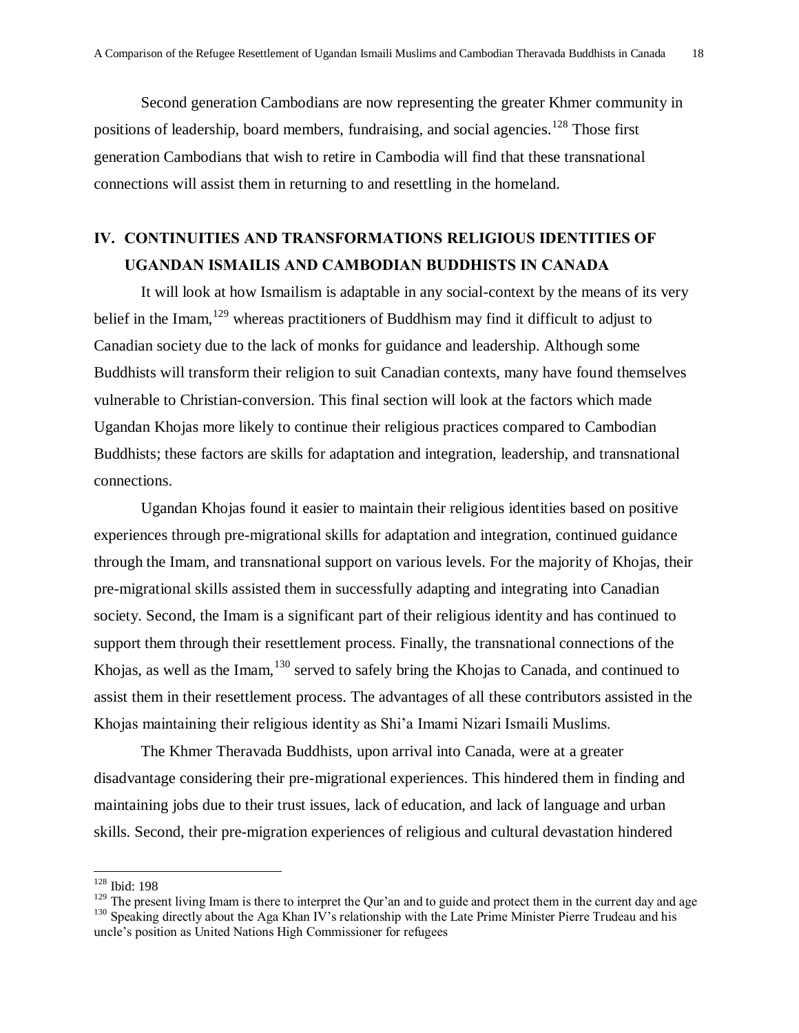Second generation Cambodians are now representing the greater Khmer community in positions of leadership, board members, fundraising, and social agencies.<sup>128</sup> Those first generation Cambodians that wish to retire in Cambodia will find that these transnational connections will assist them in returning to and resettling in the homeland.

## **IV. CONTINUITIES AND TRANSFORMATIONS RELIGIOUS IDENTITIES OF UGANDAN ISMAILIS AND CAMBODIAN BUDDHISTS IN CANADA**

It will look at how Ismailism is adaptable in any social-context by the means of its very belief in the Imam,  $129$  whereas practitioners of Buddhism may find it difficult to adjust to Canadian society due to the lack of monks for guidance and leadership. Although some Buddhists will transform their religion to suit Canadian contexts, many have found themselves vulnerable to Christian-conversion. This final section will look at the factors which made Ugandan Khojas more likely to continue their religious practices compared to Cambodian Buddhists; these factors are skills for adaptation and integration, leadership, and transnational connections.

Ugandan Khojas found it easier to maintain their religious identities based on positive experiences through pre-migrational skills for adaptation and integration, continued guidance through the Imam, and transnational support on various levels. For the majority of Khojas, their pre-migrational skills assisted them in successfully adapting and integrating into Canadian society. Second, the Imam is a significant part of their religious identity and has continued to support them through their resettlement process. Finally, the transnational connections of the Khojas, as well as the Imam, <sup>130</sup> served to safely bring the Khojas to Canada, and continued to assist them in their resettlement process. The advantages of all these contributors assisted in the Khojas maintaining their religious identity as Shi'a Imami Nizari Ismaili Muslims.

The Khmer Theravada Buddhists, upon arrival into Canada, were at a greater disadvantage considering their pre-migrational experiences. This hindered them in finding and maintaining jobs due to their trust issues, lack of education, and lack of language and urban skills. Second, their pre-migration experiences of religious and cultural devastation hindered

<sup>128</sup> Ibid: 198

<sup>&</sup>lt;sup>129</sup> The present living Imam is there to interpret the Qur'an and to guide and protect them in the current day and age <sup>130</sup> Speaking directly about the Aga Khan IV's relationship with the Late Prime Minister Pierre Trudeau and his uncle's position as United Nations High Commissioner for refugees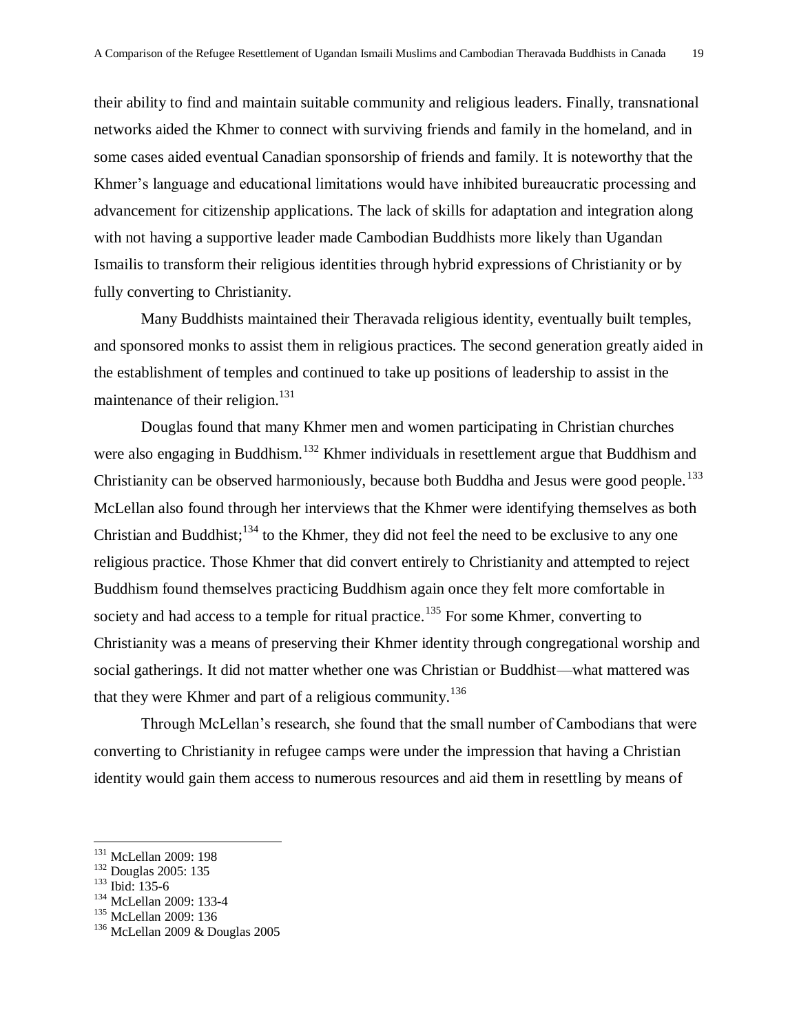their ability to find and maintain suitable community and religious leaders. Finally, transnational networks aided the Khmer to connect with surviving friends and family in the homeland, and in some cases aided eventual Canadian sponsorship of friends and family. It is noteworthy that the Khmer's language and educational limitations would have inhibited bureaucratic processing and advancement for citizenship applications. The lack of skills for adaptation and integration along with not having a supportive leader made Cambodian Buddhists more likely than Ugandan Ismailis to transform their religious identities through hybrid expressions of Christianity or by fully converting to Christianity.

Many Buddhists maintained their Theravada religious identity, eventually built temples, and sponsored monks to assist them in religious practices. The second generation greatly aided in the establishment of temples and continued to take up positions of leadership to assist in the maintenance of their religion.<sup>131</sup>

Douglas found that many Khmer men and women participating in Christian churches were also engaging in Buddhism.<sup>132</sup> Khmer individuals in resettlement argue that Buddhism and Christianity can be observed harmoniously, because both Buddha and Jesus were good people.<sup>133</sup> McLellan also found through her interviews that the Khmer were identifying themselves as both Christian and Buddhist; $134$  to the Khmer, they did not feel the need to be exclusive to any one religious practice. Those Khmer that did convert entirely to Christianity and attempted to reject Buddhism found themselves practicing Buddhism again once they felt more comfortable in society and had access to a temple for ritual practice.<sup>135</sup> For some Khmer, converting to Christianity was a means of preserving their Khmer identity through congregational worship and social gatherings. It did not matter whether one was Christian or Buddhist—what mattered was that they were Khmer and part of a religious community.<sup>136</sup>

Through McLellan's research, she found that the small number of Cambodians that were converting to Christianity in refugee camps were under the impression that having a Christian identity would gain them access to numerous resources and aid them in resettling by means of

<sup>&</sup>lt;sup>131</sup> McLellan 2009: 198

<sup>132</sup> Douglas 2005: 135

<sup>133</sup> Ibid: 135-6

<sup>134</sup> McLellan 2009: 133-4

<sup>135</sup> McLellan 2009: 136

 $136$  McLellan 2009 & Douglas 2005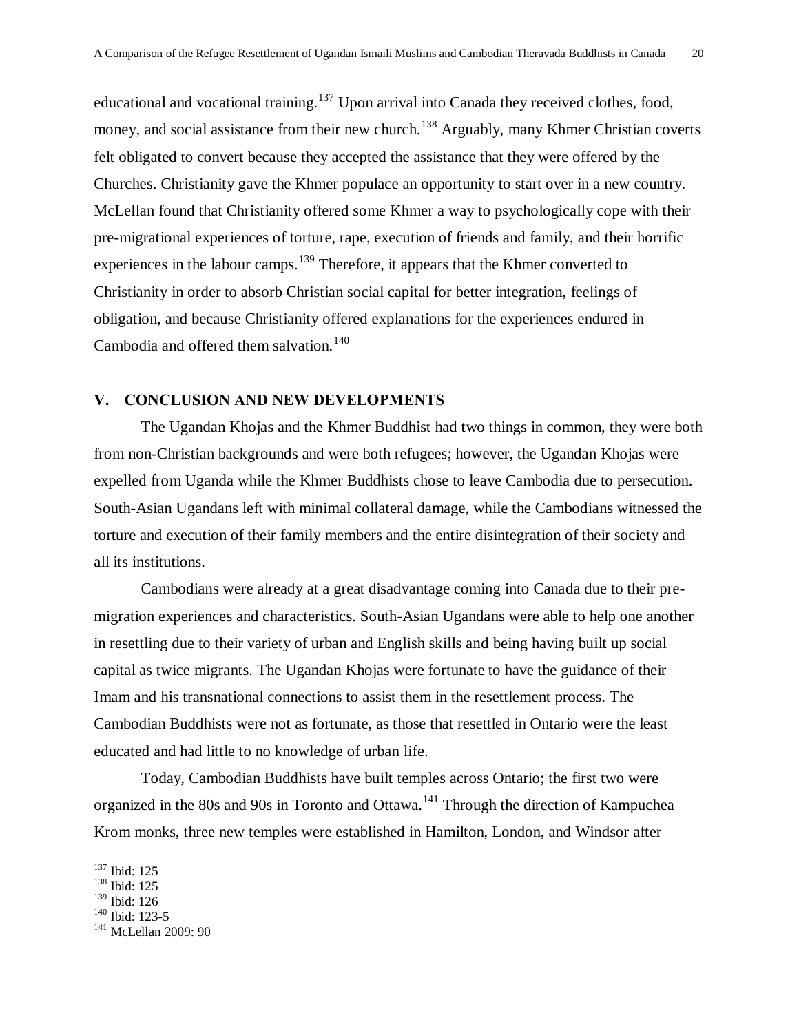educational and vocational training.<sup>137</sup> Upon arrival into Canada they received clothes, food, money, and social assistance from their new church.<sup>138</sup> Arguably, many Khmer Christian coverts felt obligated to convert because they accepted the assistance that they were offered by the Churches. Christianity gave the Khmer populace an opportunity to start over in a new country. McLellan found that Christianity offered some Khmer a way to psychologically cope with their pre-migrational experiences of torture, rape, execution of friends and family, and their horrific experiences in the labour camps.<sup>139</sup> Therefore, it appears that the Khmer converted to Christianity in order to absorb Christian social capital for better integration, feelings of obligation, and because Christianity offered explanations for the experiences endured in Cambodia and offered them salvation.<sup>140</sup>

#### **V. CONCLUSION AND NEW DEVELOPMENTS**

The Ugandan Khojas and the Khmer Buddhist had two things in common, they were both from non-Christian backgrounds and were both refugees; however, the Ugandan Khojas were expelled from Uganda while the Khmer Buddhists chose to leave Cambodia due to persecution. South-Asian Ugandans left with minimal collateral damage, while the Cambodians witnessed the torture and execution of their family members and the entire disintegration of their society and all its institutions.

Cambodians were already at a great disadvantage coming into Canada due to their premigration experiences and characteristics. South-Asian Ugandans were able to help one another in resettling due to their variety of urban and English skills and being having built up social capital as twice migrants. The Ugandan Khojas were fortunate to have the guidance of their Imam and his transnational connections to assist them in the resettlement process. The Cambodian Buddhists were not as fortunate, as those that resettled in Ontario were the least educated and had little to no knowledge of urban life.

Today, Cambodian Buddhists have built temples across Ontario; the first two were organized in the 80s and 90s in Toronto and Ottawa.<sup>141</sup> Through the direction of Kampuchea Krom monks, three new temples were established in Hamilton, London, and Windsor after

<sup>&</sup>lt;sup>137</sup> Ibid: 125

<sup>138</sup> Ibid: 125

<sup>139</sup> Ibid: 126

<sup>140</sup> Ibid: 123-5

<sup>&</sup>lt;sup>141</sup> McLellan 2009: 90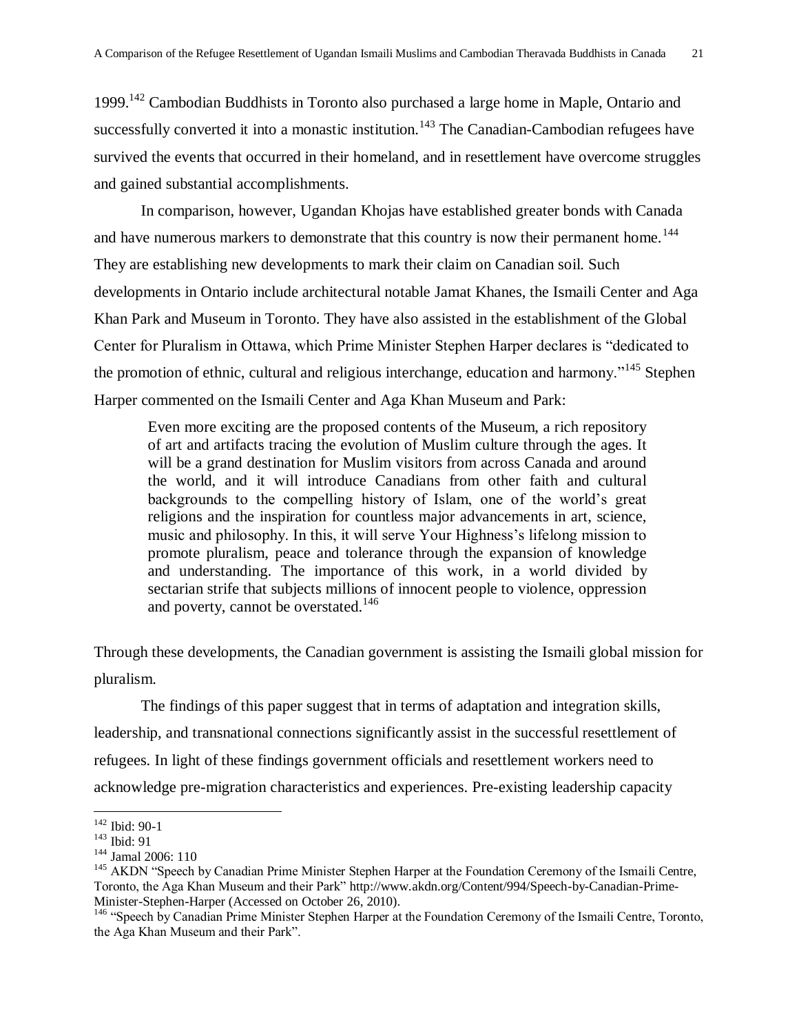1999.<sup>142</sup> Cambodian Buddhists in Toronto also purchased a large home in Maple, Ontario and successfully converted it into a monastic institution.<sup>143</sup> The Canadian-Cambodian refugees have survived the events that occurred in their homeland, and in resettlement have overcome struggles and gained substantial accomplishments.

In comparison, however, Ugandan Khojas have established greater bonds with Canada and have numerous markers to demonstrate that this country is now their permanent home.<sup>144</sup> They are establishing new developments to mark their claim on Canadian soil. Such developments in Ontario include architectural notable Jamat Khanes, the Ismaili Center and Aga Khan Park and Museum in Toronto. They have also assisted in the establishment of the Global Center for Pluralism in Ottawa, which Prime Minister Stephen Harper declares is "dedicated to the promotion of ethnic, cultural and religious interchange, education and harmony."<sup>145</sup> Stephen Harper commented on the Ismaili Center and Aga Khan Museum and Park:

Even more exciting are the proposed contents of the Museum, a rich repository of art and artifacts tracing the evolution of Muslim culture through the ages. It will be a grand destination for Muslim visitors from across Canada and around the world, and it will introduce Canadians from other faith and cultural backgrounds to the compelling history of Islam, one of the world's great religions and the inspiration for countless major advancements in art, science, music and philosophy. In this, it will serve Your Highness's lifelong mission to promote pluralism, peace and tolerance through the expansion of knowledge and understanding. The importance of this work, in a world divided by sectarian strife that subjects millions of innocent people to violence, oppression and poverty, cannot be overstated.<sup>146</sup>

Through these developments, the Canadian government is assisting the Ismaili global mission for pluralism.

The findings of this paper suggest that in terms of adaptation and integration skills, leadership, and transnational connections significantly assist in the successful resettlement of refugees. In light of these findings government officials and resettlement workers need to acknowledge pre-migration characteristics and experiences. Pre-existing leadership capacity

<sup>142</sup> Ibid: 90-1

<sup>143</sup> Ibid: 91

<sup>144</sup> Jamal 2006: 110

<sup>&</sup>lt;sup>145</sup> AKDN "Speech by Canadian Prime Minister Stephen Harper at the Foundation Ceremony of the Ismaili Centre, Toronto, the Aga Khan Museum and their Park‖ [http://www.akdn.org/Content/994/Speech-by-Canadian-Prime-](http://www.akdn.org/Content/994/Speech-by-Canadian-Prime-Minister-Stephen-Harper)[Minister-Stephen-Harper](http://www.akdn.org/Content/994/Speech-by-Canadian-Prime-Minister-Stephen-Harper) (Accessed on October 26, 2010).

<sup>&</sup>lt;sup>146</sup> "Speech by Canadian Prime Minister Stephen Harper at the Foundation Ceremony of the Ismaili Centre, Toronto, the Aga Khan Museum and their Park".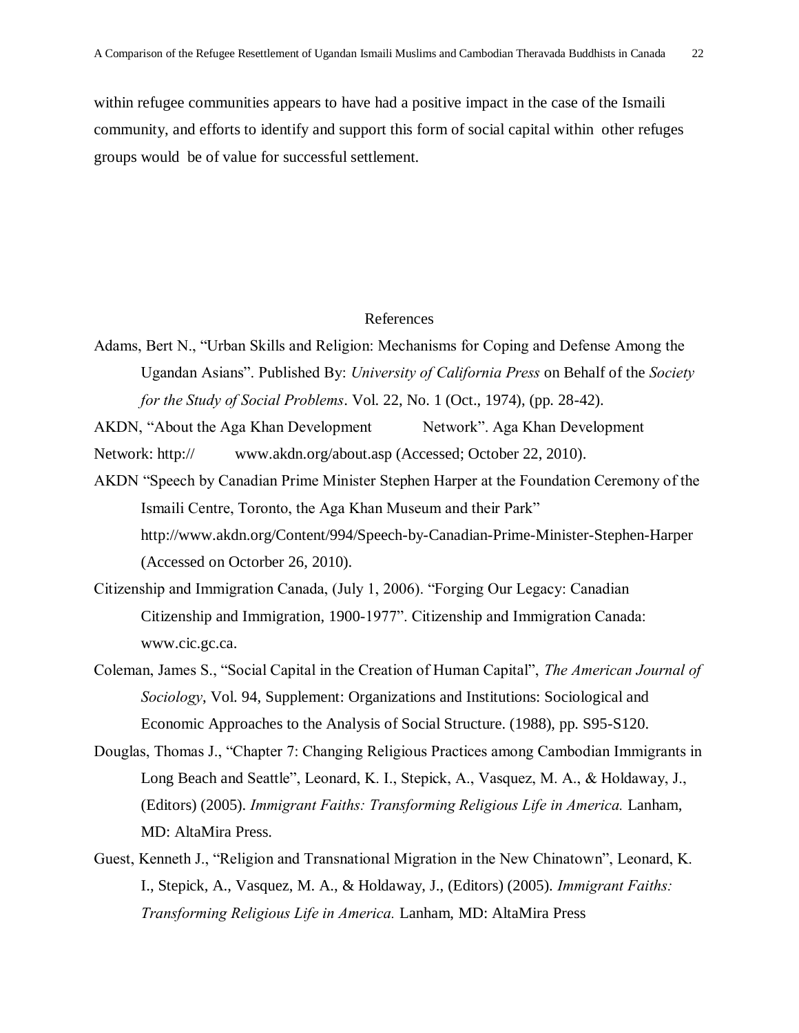within refugee communities appears to have had a positive impact in the case of the Ismaili community, and efforts to identify and support this form of social capital within other refuges groups would be of value for successful settlement.

#### References

Adams, Bert N., "Urban Skills and Religion: Mechanisms for Coping and Defense Among the Ugandan Asians". Published By: *University of California Press* on Behalf of the *Society for the Study of Social Problems*. Vol. 22, No. 1 (Oct., 1974), (pp. 28-42).

AKDN, "About the Aga Khan Development Network". Aga Khan Development Network: [http:// www.akdn.org/about.asp](http://www.akdn.org/about.asp) (Accessed; October 22, 2010).

- AKDN "Speech by Canadian Prime Minister Stephen Harper at the Foundation Ceremony of the Ismaili Centre, Toronto, the Aga Khan Museum and their Park" <http://www.akdn.org/Content/994/Speech-by-Canadian-Prime-Minister-Stephen-Harper> (Accessed on Octorber 26, 2010).
- Citizenship and Immigration Canada, (July 1, 2006). "Forging Our Legacy: Canadian Citizenship and Immigration, 1900-1977". Citizenship and Immigration Canada: [www.cic.gc.ca.](http://www.cic.gc.ca/)
- Coleman, James S., "Social Capital in the Creation of Human Capital", *The American Journal of Sociology*, Vol. 94, Supplement: Organizations and Institutions: Sociological and Economic Approaches to the Analysis of Social Structure. (1988), pp. S95-S120.
- Douglas, Thomas J., "Chapter 7: Changing Religious Practices among Cambodian Immigrants in Long Beach and Seattle", Leonard, K. I., Stepick, A., Vasquez, M. A., & Holdaway, J., (Editors) (2005). *Immigrant Faiths: Transforming Religious Life in America.* Lanham, MD: AltaMira Press.
- Guest, Kenneth J., "Religion and Transnational Migration in the New Chinatown", Leonard, K. I., Stepick, A., Vasquez, M. A., & Holdaway, J., (Editors) (2005). *Immigrant Faiths: Transforming Religious Life in America.* Lanham, MD: AltaMira Press